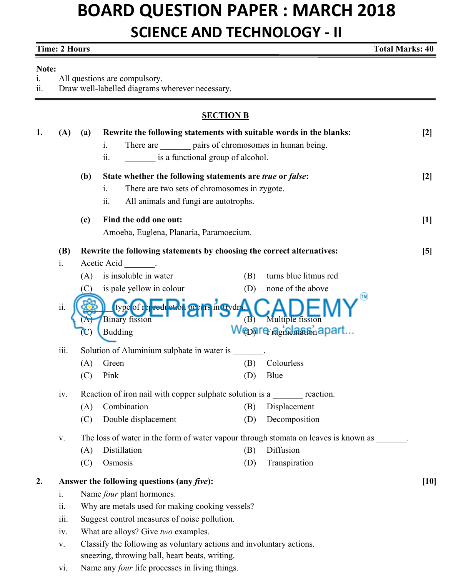# **BOARD QUESTION PAPER : MARCH 2018 SCIENCE AND TECHNOLOGY - II**

## **Time: 2 Hours**

**Total Marks: 40** 

#### Note:

All questions are compulsory.  $\mathbf{i}$ .

Draw well-labelled diagrams wherever necessary.  $ii.$ 

### **SECTION B**

| 1. | (A)        | (a)                                                                                 | Rewrite the following statements with suitable words in the blanks:                      | $[2]$ |
|----|------------|-------------------------------------------------------------------------------------|------------------------------------------------------------------------------------------|-------|
|    |            |                                                                                     | There are ________ pairs of chromosomes in human being.<br>$\mathbf{i}$ .                |       |
|    |            |                                                                                     | is a functional group of alcohol.<br>$\overline{\mathbf{11}}$ .                          |       |
|    |            | (b)                                                                                 | State whether the following statements are true or false:                                | $[2]$ |
|    |            |                                                                                     | There are two sets of chromosomes in zygote.<br>1.                                       |       |
|    |            |                                                                                     | All animals and fungi are autotrophs.<br>$\overline{\mathbf{11}}$ .                      |       |
|    |            | (c)                                                                                 | Find the odd one out:                                                                    | $[1]$ |
|    |            |                                                                                     | Amoeba, Euglena, Planaria, Paramoecium.                                                  |       |
|    | <b>(B)</b> | Rewrite the following statements by choosing the correct alternatives:              |                                                                                          | [5]   |
|    | i.         |                                                                                     | Acetic Acid<br><b>Contractor</b>                                                         |       |
|    |            | (A)                                                                                 | is insoluble in water<br>turns blue litmus red<br>(B)                                    |       |
|    |            | (C)                                                                                 | none of the above<br>is pale yellow in colour<br>(D)                                     |       |
|    | ii.        |                                                                                     | type of related ether or in Eydr                                                         |       |
|    |            | $\Lambda$                                                                           | (B) Multiple fission<br><b>Binary fission</b><br>Wepare-agradaasnapart<br><b>Budding</b> |       |
|    |            |                                                                                     |                                                                                          |       |
|    | iii.       |                                                                                     | Solution of Aluminium sulphate in water is                                               |       |
|    |            | (A)                                                                                 | Colourless<br>Green<br>(B)                                                               |       |
|    |            | (C)                                                                                 | Blue<br>Pink<br>(D)                                                                      |       |
|    | iv.        | Reaction of iron nail with copper sulphate solution is a reaction.                  |                                                                                          |       |
|    |            | (A)                                                                                 | Combination<br>Displacement<br>(B)                                                       |       |
|    |            | (C)                                                                                 | Decomposition<br>Double displacement<br>(D)                                              |       |
|    | V.         | The loss of water in the form of water vapour through stomata on leaves is known as |                                                                                          |       |
|    |            | (A)                                                                                 | Diffusion<br>Distillation<br>(B)                                                         |       |
|    |            | (C)                                                                                 | Osmosis<br>Transpiration<br>(D)                                                          |       |
| 2. |            | Answer the following questions (any five):                                          |                                                                                          |       |
|    | 1.         |                                                                                     | Name <i>four</i> plant hormones.                                                         |       |
|    | ii.        | Why are metals used for making cooking vessels?                                     |                                                                                          |       |
|    | iii.       | Suggest control measures of noise pollution.                                        |                                                                                          |       |
|    | iv.        |                                                                                     | What are alloys? Give two examples.                                                      |       |
|    | V.         |                                                                                     | Classify the following as voluntary actions and involuntary actions.                     |       |
|    |            | sneezing, throwing ball, heart beats, writing.                                      |                                                                                          |       |

Name any four life processes in living things. vi.